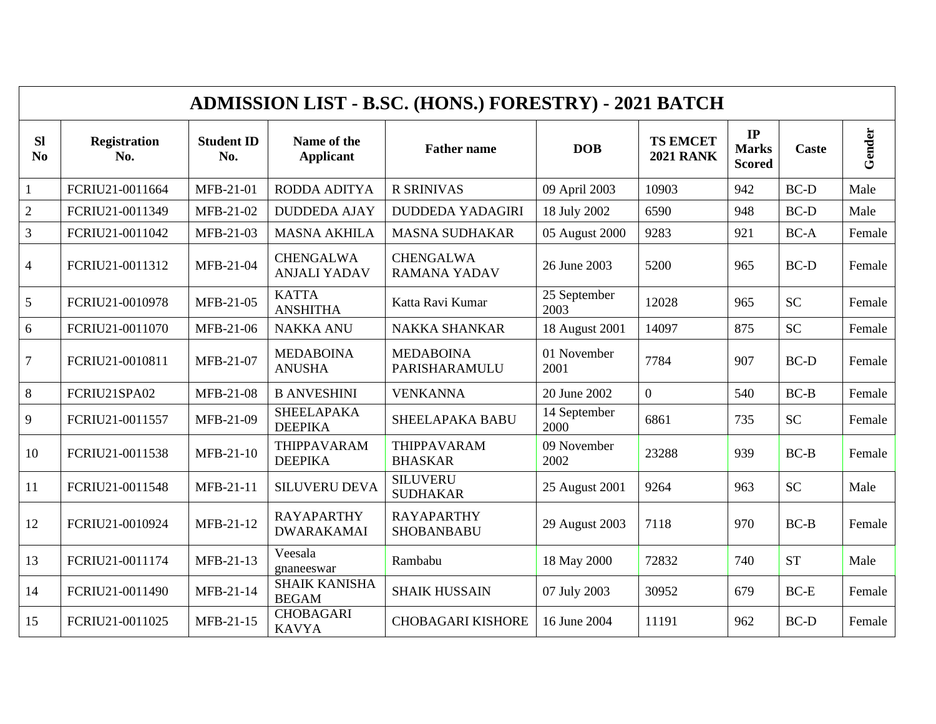| <b>ADMISSION LIST - B.SC. (HONS.) FORESTRY) - 2021 BATCH</b> |                            |                          |                                         |                                         |                      |                                     |                                     |              |        |
|--------------------------------------------------------------|----------------------------|--------------------------|-----------------------------------------|-----------------------------------------|----------------------|-------------------------------------|-------------------------------------|--------------|--------|
| <b>Sl</b><br>N <sub>0</sub>                                  | <b>Registration</b><br>No. | <b>Student ID</b><br>No. | Name of the<br><b>Applicant</b>         | <b>Father name</b>                      | <b>DOB</b>           | <b>TS EMCET</b><br><b>2021 RANK</b> | IP<br><b>Marks</b><br><b>Scored</b> | <b>Caste</b> | Gender |
| $\mathbf{1}$                                                 | FCRIU21-0011664            | MFB-21-01                | RODDA ADITYA                            | <b>R SRINIVAS</b>                       | 09 April 2003        | 10903                               | 942                                 | $BC-D$       | Male   |
| $\sqrt{2}$                                                   | FCRIU21-0011349            | MFB-21-02                | <b>DUDDEDA AJAY</b>                     | <b>DUDDEDA YADAGIRI</b>                 | 18 July 2002         | 6590                                | 948                                 | $BC-D$       | Male   |
| $\overline{3}$                                               | FCRIU21-0011042            | MFB-21-03                | <b>MASNA AKHILA</b>                     | <b>MASNA SUDHAKAR</b>                   | 05 August 2000       | 9283                                | 921                                 | $BC-A$       | Female |
| $\overline{4}$                                               | FCRIU21-0011312            | MFB-21-04                | <b>CHENGALWA</b><br><b>ANJALI YADAV</b> | <b>CHENGALWA</b><br><b>RAMANA YADAV</b> | 26 June 2003         | 5200                                | 965                                 | <b>BC-D</b>  | Female |
| $5\overline{)}$                                              | FCRIU21-0010978            | MFB-21-05                | <b>KATTA</b><br><b>ANSHITHA</b>         | Katta Ravi Kumar                        | 25 September<br>2003 | 12028                               | 965                                 | <b>SC</b>    | Female |
| 6                                                            | FCRIU21-0011070            | MFB-21-06                | <b>NAKKA ANU</b>                        | <b>NAKKA SHANKAR</b>                    | 18 August 2001       | 14097                               | 875                                 | <b>SC</b>    | Female |
| $\overline{7}$                                               | FCRIU21-0010811            | MFB-21-07                | <b>MEDABOINA</b><br><b>ANUSHA</b>       | <b>MEDABOINA</b><br>PARISHARAMULU       | 01 November<br>2001  | 7784                                | 907                                 | $BC-D$       | Female |
| $8\,$                                                        | FCRIU21SPA02               | MFB-21-08                | <b>B ANVESHINI</b>                      | <b>VENKANNA</b>                         | 20 June 2002         | $\overline{0}$                      | 540                                 | $BC-B$       | Female |
| 9                                                            | FCRIU21-0011557            | MFB-21-09                | <b>SHEELAPAKA</b><br><b>DEEPIKA</b>     | <b>SHEELAPAKA BABU</b>                  | 14 September<br>2000 | 6861                                | 735                                 | <b>SC</b>    | Female |
| 10                                                           | FCRIU21-0011538            | MFB-21-10                | THIPPAVARAM<br><b>DEEPIKA</b>           | THIPPAVARAM<br><b>BHASKAR</b>           | 09 November<br>2002  | 23288                               | 939                                 | $BC-B$       | Female |
| 11                                                           | FCRIU21-0011548            | MFB-21-11                | <b>SILUVERU DEVA</b>                    | <b>SILUVERU</b><br><b>SUDHAKAR</b>      | 25 August 2001       | 9264                                | 963                                 | <b>SC</b>    | Male   |
| 12                                                           | FCRIU21-0010924            | MFB-21-12                | <b>RAYAPARTHY</b><br><b>DWARAKAMAI</b>  | <b>RAYAPARTHY</b><br><b>SHOBANBABU</b>  | 29 August 2003       | 7118                                | 970                                 | $BC-B$       | Female |
| 13                                                           | FCRIU21-0011174            | MFB-21-13                | Veesala<br>gnaneeswar                   | Rambabu                                 | 18 May 2000          | 72832                               | 740                                 | <b>ST</b>    | Male   |
| 14                                                           | FCRIU21-0011490            | MFB-21-14                | <b>SHAIK KANISHA</b><br><b>BEGAM</b>    | <b>SHAIK HUSSAIN</b>                    | 07 July 2003         | 30952                               | 679                                 | $BC-E$       | Female |
| 15                                                           | FCRIU21-0011025            | MFB-21-15                | <b>CHOBAGARI</b><br><b>KAVYA</b>        | <b>CHOBAGARI KISHORE</b>                | 16 June 2004         | 11191                               | 962                                 | BC-D         | Female |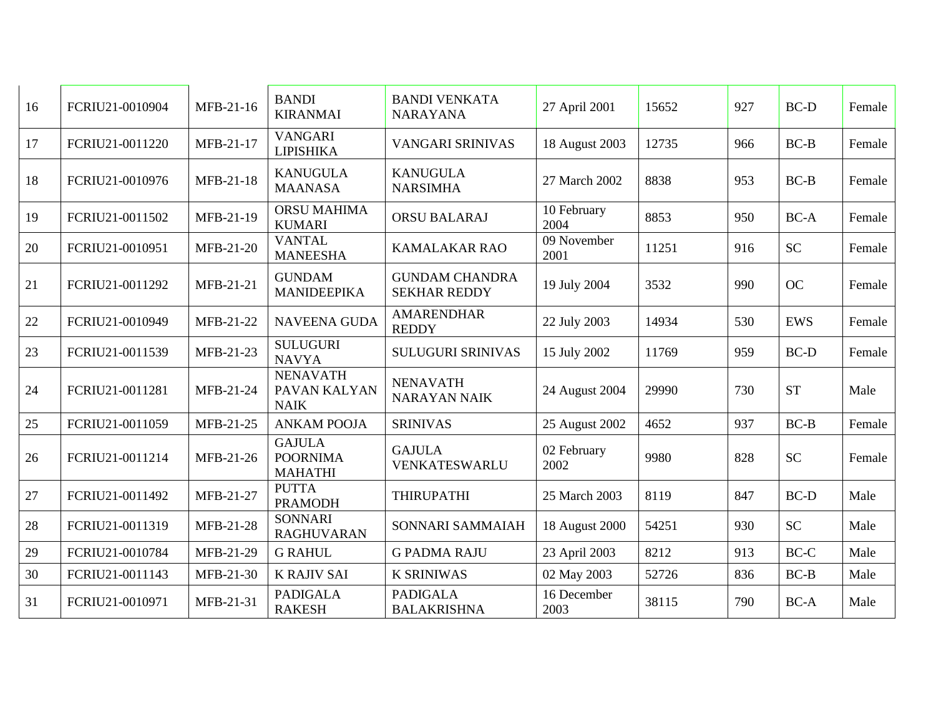| 16 | FCRIU21-0010904 | MFB-21-16 | <b>BANDI</b><br><b>KIRANMAI</b>                    | <b>BANDI VENKATA</b><br><b>NARAYANA</b>      | 27 April 2001       | 15652 | 927 | $BC-D$      | Female |
|----|-----------------|-----------|----------------------------------------------------|----------------------------------------------|---------------------|-------|-----|-------------|--------|
| 17 | FCRIU21-0011220 | MFB-21-17 | <b>VANGARI</b><br><b>LIPISHIKA</b>                 | <b>VANGARI SRINIVAS</b>                      | 18 August 2003      | 12735 | 966 | $BC-B$      | Female |
| 18 | FCRIU21-0010976 | MFB-21-18 | <b>KANUGULA</b><br><b>MAANASA</b>                  | <b>KANUGULA</b><br><b>NARSIMHA</b>           | 27 March 2002       | 8838  | 953 | $BC-B$      | Female |
| 19 | FCRIU21-0011502 | MFB-21-19 | <b>ORSU MAHIMA</b><br><b>KUMARI</b>                | <b>ORSU BALARAJ</b>                          | 10 February<br>2004 | 8853  | 950 | $BC-A$      | Female |
| 20 | FCRIU21-0010951 | MFB-21-20 | <b>VANTAL</b><br><b>MANEESHA</b>                   | <b>KAMALAKAR RAO</b>                         | 09 November<br>2001 | 11251 | 916 | <b>SC</b>   | Female |
| 21 | FCRIU21-0011292 | MFB-21-21 | <b>GUNDAM</b><br><b>MANIDEEPIKA</b>                | <b>GUNDAM CHANDRA</b><br><b>SEKHAR REDDY</b> | 19 July 2004        | 3532  | 990 | <b>OC</b>   | Female |
| 22 | FCRIU21-0010949 | MFB-21-22 | <b>NAVEENA GUDA</b>                                | <b>AMARENDHAR</b><br><b>REDDY</b>            | 22 July 2003        | 14934 | 530 | <b>EWS</b>  | Female |
| 23 | FCRIU21-0011539 | MFB-21-23 | <b>SULUGURI</b><br><b>NAVYA</b>                    | <b>SULUGURI SRINIVAS</b>                     | 15 July 2002        | 11769 | 959 | $BC-D$      | Female |
| 24 | FCRIU21-0011281 | MFB-21-24 | <b>NENAVATH</b><br>PAVAN KALYAN<br><b>NAIK</b>     | <b>NENAVATH</b><br><b>NARAYAN NAIK</b>       | 24 August 2004      | 29990 | 730 | <b>ST</b>   | Male   |
| 25 | FCRIU21-0011059 | MFB-21-25 | <b>ANKAM POOJA</b>                                 | <b>SRINIVAS</b>                              | 25 August 2002      | 4652  | 937 | $BC-B$      | Female |
| 26 | FCRIU21-0011214 | MFB-21-26 | <b>GAJULA</b><br><b>POORNIMA</b><br><b>MAHATHI</b> | <b>GAJULA</b><br>VENKATESWARLU               | 02 February<br>2002 | 9980  | 828 | <b>SC</b>   | Female |
| 27 | FCRIU21-0011492 | MFB-21-27 | <b>PUTTA</b><br><b>PRAMODH</b>                     | <b>THIRUPATHI</b>                            | 25 March 2003       | 8119  | 847 | $BC-D$      | Male   |
| 28 | FCRIU21-0011319 | MFB-21-28 | <b>SONNARI</b><br><b>RAGHUVARAN</b>                | SONNARI SAMMAIAH                             | 18 August 2000      | 54251 | 930 | <b>SC</b>   | Male   |
| 29 | FCRIU21-0010784 | MFB-21-29 | <b>G RAHUL</b>                                     | <b>G PADMA RAJU</b>                          | 23 April 2003       | 8212  | 913 | $BC-C$      | Male   |
| 30 | FCRIU21-0011143 | MFB-21-30 | <b>K RAJIV SAI</b>                                 | <b>K SRINIWAS</b>                            | 02 May 2003         | 52726 | 836 | $BC-B$      | Male   |
| 31 | FCRIU21-0010971 | MFB-21-31 | <b>PADIGALA</b><br><b>RAKESH</b>                   | <b>PADIGALA</b><br><b>BALAKRISHNA</b>        | 16 December<br>2003 | 38115 | 790 | <b>BC-A</b> | Male   |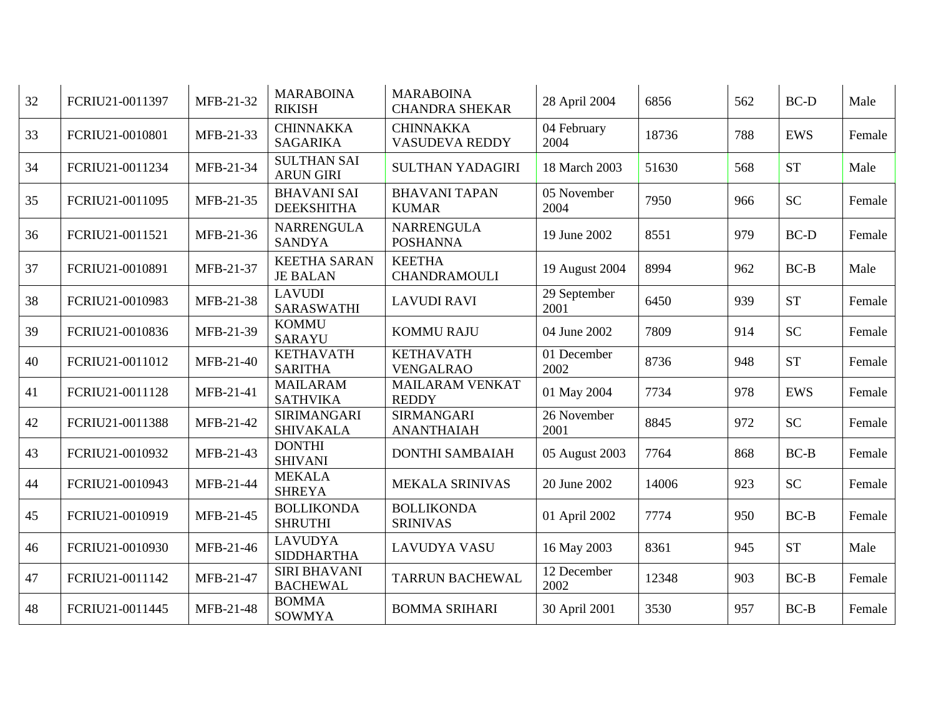| 32 | FCRIU21-0011397 | MFB-21-32 | <b>MARABOINA</b><br><b>RIKISH</b>       | <b>MARABOINA</b><br><b>CHANDRA SHEKAR</b> | 28 April 2004        | 6856  | 562 | <b>BC-D</b> | Male   |
|----|-----------------|-----------|-----------------------------------------|-------------------------------------------|----------------------|-------|-----|-------------|--------|
| 33 | FCRIU21-0010801 | MFB-21-33 | <b>CHINNAKKA</b><br><b>SAGARIKA</b>     | <b>CHINNAKKA</b><br><b>VASUDEVA REDDY</b> | 04 February<br>2004  | 18736 | 788 | <b>EWS</b>  | Female |
| 34 | FCRIU21-0011234 | MFB-21-34 | <b>SULTHAN SAI</b><br><b>ARUN GIRI</b>  | <b>SULTHAN YADAGIRI</b>                   | 18 March 2003        | 51630 | 568 | <b>ST</b>   | Male   |
| 35 | FCRIU21-0011095 | MFB-21-35 | <b>BHAVANI SAI</b><br><b>DEEKSHITHA</b> | <b>BHAVANI TAPAN</b><br><b>KUMAR</b>      | 05 November<br>2004  | 7950  | 966 | <b>SC</b>   | Female |
| 36 | FCRIU21-0011521 | MFB-21-36 | <b>NARRENGULA</b><br><b>SANDYA</b>      | <b>NARRENGULA</b><br><b>POSHANNA</b>      | 19 June 2002         | 8551  | 979 | $BC-D$      | Female |
| 37 | FCRIU21-0010891 | MFB-21-37 | <b>KEETHA SARAN</b><br><b>JE BALAN</b>  | <b>KEETHA</b><br><b>CHANDRAMOULI</b>      | 19 August 2004       | 8994  | 962 | $BC-B$      | Male   |
| 38 | FCRIU21-0010983 | MFB-21-38 | <b>LAVUDI</b><br>SARASWATHI             | <b>LAVUDI RAVI</b>                        | 29 September<br>2001 | 6450  | 939 | <b>ST</b>   | Female |
| 39 | FCRIU21-0010836 | MFB-21-39 | <b>KOMMU</b><br><b>SARAYU</b>           | <b>KOMMU RAJU</b>                         | 04 June 2002         | 7809  | 914 | <b>SC</b>   | Female |
| 40 | FCRIU21-0011012 | MFB-21-40 | <b>KETHAVATH</b><br><b>SARITHA</b>      | <b>KETHAVATH</b><br><b>VENGALRAO</b>      | 01 December<br>2002  | 8736  | 948 | <b>ST</b>   | Female |
| 41 | FCRIU21-0011128 | MFB-21-41 | <b>MAILARAM</b><br><b>SATHVIKA</b>      | <b>MAILARAM VENKAT</b><br><b>REDDY</b>    | 01 May 2004          | 7734  | 978 | <b>EWS</b>  | Female |
| 42 | FCRIU21-0011388 | MFB-21-42 | SIRIMANGARI<br><b>SHIVAKALA</b>         | <b>SIRMANGARI</b><br><b>ANANTHAIAH</b>    | 26 November<br>2001  | 8845  | 972 | <b>SC</b>   | Female |
| 43 | FCRIU21-0010932 | MFB-21-43 | <b>DONTHI</b><br><b>SHIVANI</b>         | DONTHI SAMBAIAH                           | 05 August 2003       | 7764  | 868 | $BC-B$      | Female |
| 44 | FCRIU21-0010943 | MFB-21-44 | <b>MEKALA</b><br><b>SHREYA</b>          | <b>MEKALA SRINIVAS</b>                    | 20 June 2002         | 14006 | 923 | <b>SC</b>   | Female |
| 45 | FCRIU21-0010919 | MFB-21-45 | <b>BOLLIKONDA</b><br><b>SHRUTHI</b>     | <b>BOLLIKONDA</b><br><b>SRINIVAS</b>      | 01 April 2002        | 7774  | 950 | $BC-B$      | Female |
| 46 | FCRIU21-0010930 | MFB-21-46 | <b>LAVUDYA</b><br><b>SIDDHARTHA</b>     | <b>LAVUDYA VASU</b>                       | 16 May 2003          | 8361  | 945 | <b>ST</b>   | Male   |
| 47 | FCRIU21-0011142 | MFB-21-47 | <b>SIRI BHAVANI</b><br><b>BACHEWAL</b>  | <b>TARRUN BACHEWAL</b>                    | 12 December<br>2002  | 12348 | 903 | $BC-B$      | Female |
| 48 | FCRIU21-0011445 | MFB-21-48 | <b>BOMMA</b><br><b>SOWMYA</b>           | <b>BOMMA SRIHARI</b>                      | 30 April 2001        | 3530  | 957 | $BC-B$      | Female |